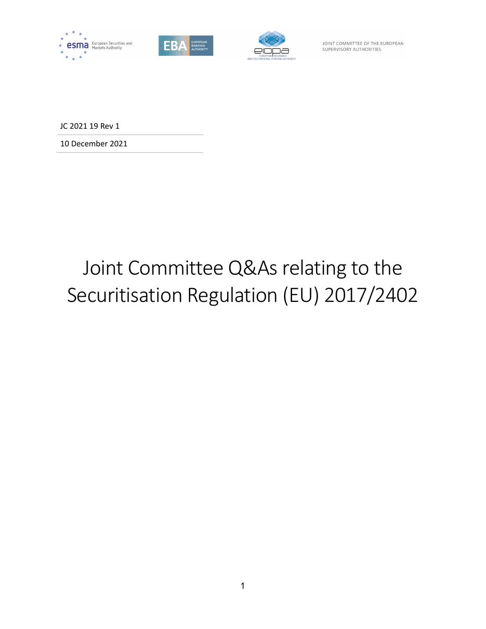





JOINT COMMITTEE OF THE EUROPEAN SUPERVISORY AUTHORITIES

JC 2021 19 Rev 1

10 December 2021

# Joint Committee Q&As relating to the Securitisation Regulation (EU) 2017/2402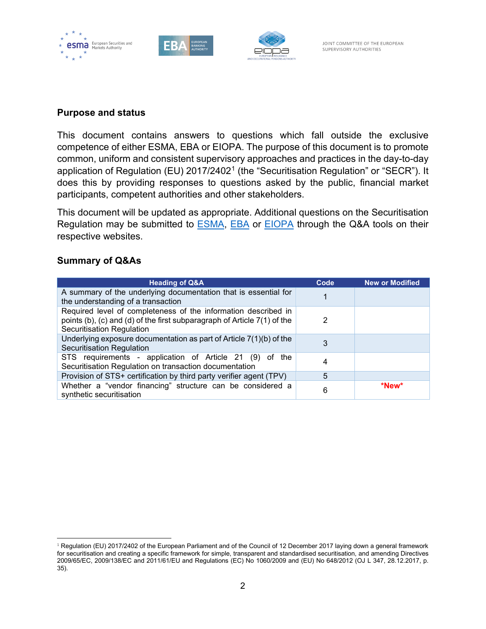

## **Purpose and status**

This document contains answers to questions which fall outside the exclusive competence of either ESMA, EBA or EIOPA. The purpose of this document is to promote common, uniform and consistent supervisory approaches and practices in the day-to-day application of Regulation (EU) 20[1](#page-1-0)7/2402<sup>1</sup> (the "Securitisation Regulation" or "SECR"). It does this by providing responses to questions asked by the public, financial market participants, competent authorities and other stakeholders.

This document will be updated as appropriate. Additional questions on the Securitisation Regulation may be submitted to [ESMA,](https://www.esma.europa.eu/questions-and-answers) [EBA](https://eba.europa.eu/single-rule-book-qa) or [EIOPA](https://www.eiopa.europa.eu/browse/qa-regulation_en) through the Q&A tools on their respective websites.

### **Summary of Q&As**

| <b>Heading of Q&amp;A</b>                                                                                                                                               | Code | <b>New or Modified</b> |
|-------------------------------------------------------------------------------------------------------------------------------------------------------------------------|------|------------------------|
| A summary of the underlying documentation that is essential for<br>the understanding of a transaction                                                                   |      |                        |
| Required level of completeness of the information described in<br>points (b), (c) and (d) of the first subparagraph of Article 7(1) of the<br>Securitisation Regulation | 2    |                        |
| Underlying exposure documentation as part of Article $7(1)(b)$ of the<br>Securitisation Regulation                                                                      | 3    |                        |
| STS requirements - application of Article 21 (9) of the<br>Securitisation Regulation on transaction documentation                                                       | 4    |                        |
| Provision of STS+ certification by third party verifier agent (TPV)                                                                                                     | 5    |                        |
| Whether a "vendor financing" structure can be considered a<br>synthetic securitisation                                                                                  | 6    | *New*                  |

<span id="page-1-0"></span><sup>&</sup>lt;sup>1</sup> Regulation (EU) 2017/2402 of the European Parliament and of the Council of 12 December 2017 laying down a general framework for securitisation and creating a specific framework for simple, transparent and standardised securitisation, and amending Directives 2009/65/EC, 2009/138/EC and 2011/61/EU and Regulations (EC) No 1060/2009 and (EU) No 648/2012 (OJ L 347, 28.12.2017, p. 35).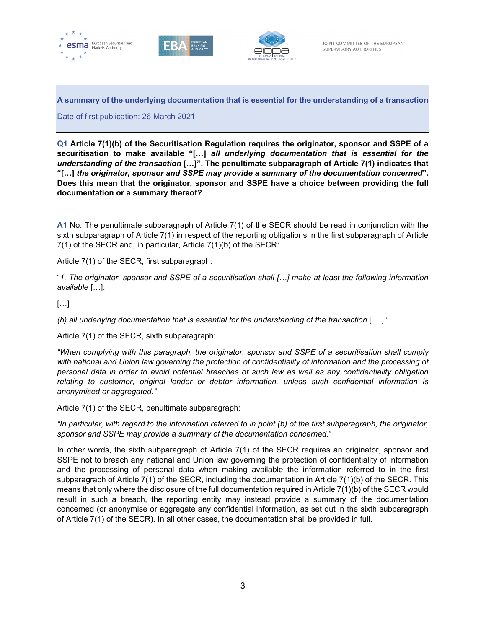





**A summary of the underlying documentation that is essential for the understanding of a transaction**

Date of first publication: 26 March 2021

**Q1 Article 7(1)(b) of the Securitisation Regulation requires the originator, sponsor and SSPE of a securitisation to make available "[…]** *all underlying documentation that is essential for the understanding of the transaction* **[…]". The penultimate subparagraph of Article 7(1) indicates that "[…]** *the originator, sponsor and SSPE may provide a summary of the documentation concerned***". Does this mean that the originator, sponsor and SSPE have a choice between providing the full documentation or a summary thereof?**

**A1** No. The penultimate subparagraph of Article 7(1) of the SECR should be read in conjunction with the sixth subparagraph of Article 7(1) in respect of the reporting obligations in the first subparagraph of Article 7(1) of the SECR and, in particular, Article 7(1)(b) of the SECR:

Article 7(1) of the SECR, first subparagraph:

"*1. The originator, sponsor and SSPE of a securitisation shall […] make at least the following information available* […]:

[…]

*(b) all underlying documentation that is essential for the understanding of the transaction* [….]."

Article 7(1) of the SECR, sixth subparagraph:

*"When complying with this paragraph, the originator, sponsor and SSPE of a securitisation shall comply*  with national and Union law governing the protection of confidentiality of information and the processing of *personal data in order to avoid potential breaches of such law as well as any confidentiality obligation relating to customer, original lender or debtor information, unless such confidential information is anonymised or aggregated."*

Article 7(1) of the SECR, penultimate subparagraph:

*"In particular, with regard to the information referred to in point (b) of the first subparagraph, the originator, sponsor and SSPE may provide a summary of the documentation concerned.*"

In other words, the sixth subparagraph of Article 7(1) of the SECR requires an originator, sponsor and SSPE not to breach any national and Union law governing the protection of confidentiality of information and the processing of personal data when making available the information referred to in the first subparagraph of Article 7(1) of the SECR, including the documentation in Article 7(1)(b) of the SECR. This means that only where the disclosure of the full documentation required in Article 7(1)(b) of the SECR would result in such a breach, the reporting entity may instead provide a summary of the documentation concerned (or anonymise or aggregate any confidential information, as set out in the sixth subparagraph of Article 7(1) of the SECR). In all other cases, the documentation shall be provided in full.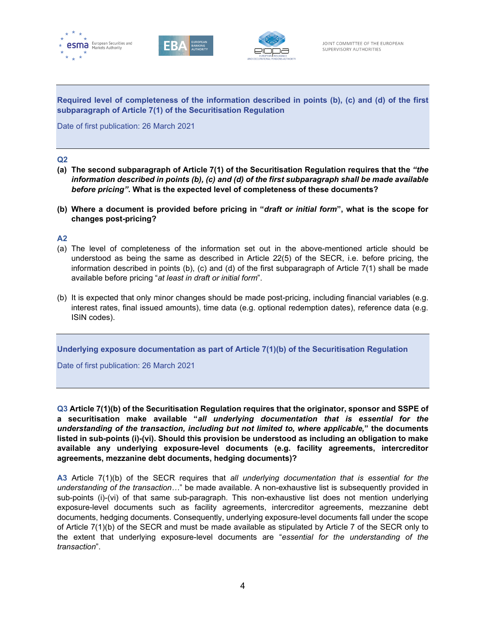





**Required level of completeness of the information described in points (b), (c) and (d) of the first subparagraph of Article 7(1) of the Securitisation Regulation**

Date of first publication: 26 March 2021

#### **Q2**

- **(a) The second subparagraph of Article 7(1) of the Securitisation Regulation requires that the** *"the information described in points (b), (c) and (d) of the first subparagraph shall be made available before pricing"***. What is the expected level of completeness of these documents?**
- **(b) Where a document is provided before pricing in "***draft or initial form***", what is the scope for changes post-pricing?**

#### **A2**

- (a) The level of completeness of the information set out in the above-mentioned article should be understood as being the same as described in Article 22(5) of the SECR, i.e. before pricing, the information described in points (b), (c) and (d) of the first subparagraph of Article 7(1) shall be made available before pricing "*at least in draft or initial form*".
- (b) It is expected that only minor changes should be made post-pricing, including financial variables (e.g. interest rates, final issued amounts), time data (e.g. optional redemption dates), reference data (e.g. ISIN codes).

**Underlying exposure documentation as part of Article 7(1)(b) of the Securitisation Regulation**

Date of first publication: 26 March 2021

**Q3 Article 7(1)(b) of the Securitisation Regulation requires that the originator, sponsor and SSPE of a securitisation make available "***all underlying documentation that is essential for the understanding of the transaction, including but not limited to, where applicable,***" the documents listed in sub-points (i)-(vi). Should this provision be understood as including an obligation to make available any underlying exposure-level documents (e.g. facility agreements, intercreditor agreements, mezzanine debt documents, hedging documents)?**

**A3** Article 7(1)(b) of the SECR requires that *all underlying documentation that is essential for the understanding of the transaction…*" be made available. A non-exhaustive list is subsequently provided in sub-points (i)-(vi) of that same sub-paragraph. This non-exhaustive list does not mention underlying exposure-level documents such as facility agreements, intercreditor agreements, mezzanine debt documents, hedging documents. Consequently, underlying exposure-level documents fall under the scope of Article 7(1)(b) of the SECR and must be made available as stipulated by Article 7 of the SECR only to the extent that underlying exposure-level documents are "*essential for the understanding of the transaction*".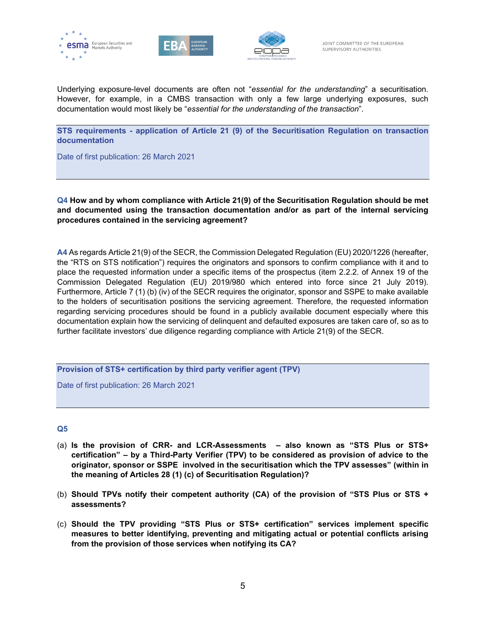





Underlying exposure-level documents are often not "*essential for the understanding*" a securitisation. However, for example, in a CMBS transaction with only a few large underlying exposures, such documentation would most likely be "*essential for the understanding of the transaction*".

**STS requirements - application of Article 21 (9) of the Securitisation Regulation on transaction documentation**

Date of first publication: 26 March 2021

**Q4 How and by whom compliance with Article 21(9) of the Securitisation Regulation should be met and documented using the transaction documentation and/or as part of the internal servicing procedures contained in the servicing agreement?**

**A4** As regards Article 21(9) of the SECR, the Commission Delegated Regulation (EU) 2020/1226 (hereafter, the "RTS on STS notification") requires the originators and sponsors to confirm compliance with it and to place the requested information under a specific items of the prospectus (item 2.2.2. of Annex 19 of the Commission Delegated Regulation (EU) 2019/980 which entered into force since 21 July 2019). Furthermore, Article 7 (1) (b) (iv) of the SECR requires the originator, sponsor and SSPE to make available to the holders of securitisation positions the servicing agreement. Therefore, the requested information regarding servicing procedures should be found in a publicly available document especially where this documentation explain how the servicing of delinquent and defaulted exposures are taken care of, so as to further facilitate investors' due diligence regarding compliance with Article 21(9) of the SECR.

**Provision of STS+ certification by third party verifier agent (TPV)**

Date of first publication: 26 March 2021

#### **Q5**

- (a) **Is the provision of CRR- and LCR-Assessments – also known as "STS Plus or STS+ certification" – by a Third-Party Verifier (TPV) to be considered as provision of advice to the originator, sponsor or SSPE involved in the securitisation which the TPV assesses" (within in the meaning of Articles 28 (1) (c) of Securitisation Regulation)?**
- (b) **Should TPVs notify their competent authority (CA) of the provision of "STS Plus or STS + assessments?**
- (c) **Should the TPV providing "STS Plus or STS+ certification" services implement specific measures to better identifying, preventing and mitigating actual or potential conflicts arising from the provision of those services when notifying its CA?**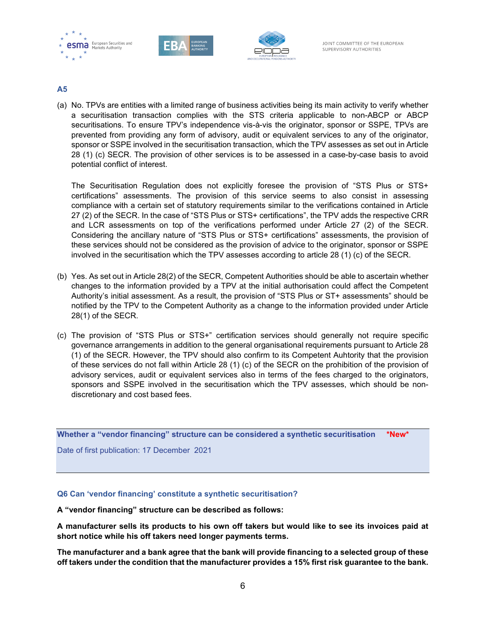





#### **A5**

(a) No. TPVs are entities with a limited range of business activities being its main activity to verify whether a securitisation transaction complies with the STS criteria applicable to non-ABCP or ABCP securitisations. To ensure TPV's independence vis-à-vis the originator, sponsor or SSPE, TPVs are prevented from providing any form of advisory, audit or equivalent services to any of the originator, sponsor or SSPE involved in the securitisation transaction, which the TPV assesses as set out in Article 28 (1) (c) SECR. The provision of other services is to be assessed in a case-by-case basis to avoid potential conflict of interest.

The Securitisation Regulation does not explicitly foresee the provision of "STS Plus or STS+ certifications" assessments. The provision of this service seems to also consist in assessing compliance with a certain set of statutory requirements similar to the verifications contained in Article 27 (2) of the SECR. In the case of "STS Plus or STS+ certifications", the TPV adds the respective CRR and LCR assessments on top of the verifications performed under Article 27 (2) of the SECR. Considering the ancillary nature of "STS Plus or STS+ certifications" assessments, the provision of these services should not be considered as the provision of advice to the originator, sponsor or SSPE involved in the securitisation which the TPV assesses according to article 28 (1) (c) of the SECR.

- (b) Yes. As set out in Article 28(2) of the SECR, Competent Authorities should be able to ascertain whether changes to the information provided by a TPV at the initial authorisation could affect the Competent Authority's initial assessment. As a result, the provision of "STS Plus or ST+ assessments" should be notified by the TPV to the Competent Authority as a change to the information provided under Article 28(1) of the SECR.
- (c) The provision of "STS Plus or STS+" certification services should generally not require specific governance arrangements in addition to the general organisational requirements pursuant to Article 28 (1) of the SECR. However, the TPV should also confirm to its Competent Auhtority that the provision of these services do not fall within Article 28 (1) (c) of the SECR on the prohibition of the provision of advisory services, audit or equivalent services also in terms of the fees charged to the originators, sponsors and SSPE involved in the securitisation which the TPV assesses, which should be nondiscretionary and cost based fees.

**Whether a "vendor financing" structure can be considered a synthetic securitisation \*New\***

Date of first publication: 17 December 2021

#### **Q6 Can 'vendor financing' constitute a synthetic securitisation?**

**A "vendor financing" structure can be described as follows:** 

**A manufacturer sells its products to his own off takers but would like to see its invoices paid at short notice while his off takers need longer payments terms.** 

**The manufacturer and a bank agree that the bank will provide financing to a selected group of these off takers under the condition that the manufacturer provides a 15% first risk guarantee to the bank.**